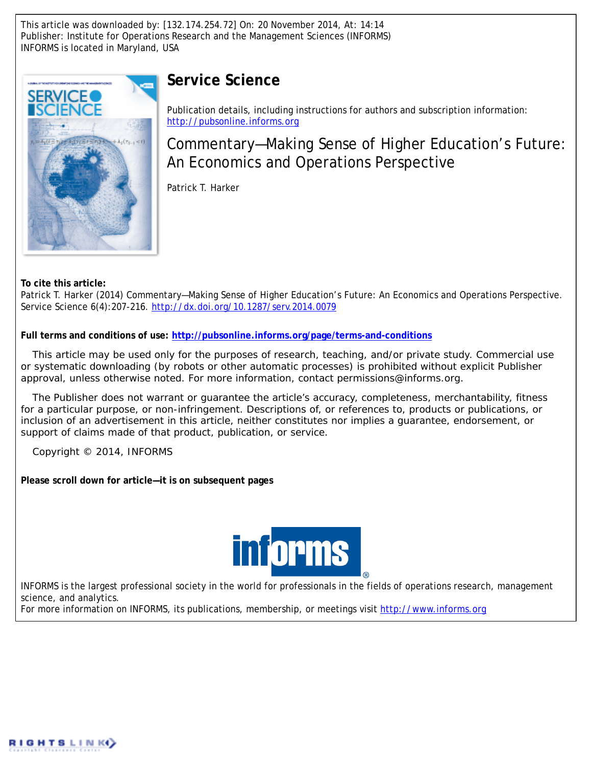This article was downloaded by: [132.174.254.72] On: 20 November 2014, At: 14:14 Publisher: Institute for Operations Research and the Management Sciences (INFORMS) INFORMS is located in Maryland, USA



## **Service Science**

Publication details, including instructions for authors and subscription information: <http://pubsonline.informs.org>

Commentary—Making Sense of Higher Education's Future: An Economics and Operations Perspective

Patrick T. Harker

**To cite this article:**

Patrick T. Harker (2014) Commentary—Making Sense of Higher Education's Future: An Economics and Operations Perspective. Service Science 6(4):207-216. <http://dx.doi.org/10.1287/serv.2014.0079>

**Full terms and conditions of use: <http://pubsonline.informs.org/page/terms-and-conditions>**

This article may be used only for the purposes of research, teaching, and/or private study. Commercial use or systematic downloading (by robots or other automatic processes) is prohibited without explicit Publisher approval, unless otherwise noted. For more information, contact permissions@informs.org.

The Publisher does not warrant or guarantee the article's accuracy, completeness, merchantability, fitness for a particular purpose, or non-infringement. Descriptions of, or references to, products or publications, or inclusion of an advertisement in this article, neither constitutes nor implies a guarantee, endorsement, or support of claims made of that product, publication, or service.

Copyright © 2014, INFORMS

**Please scroll down for article—it is on subsequent pages**



INFORMS is the largest professional society in the world for professionals in the fields of operations research, management science, and analytics.

For more information on INFORMS, its publications, membership, or meetings visit <http://www.informs.org>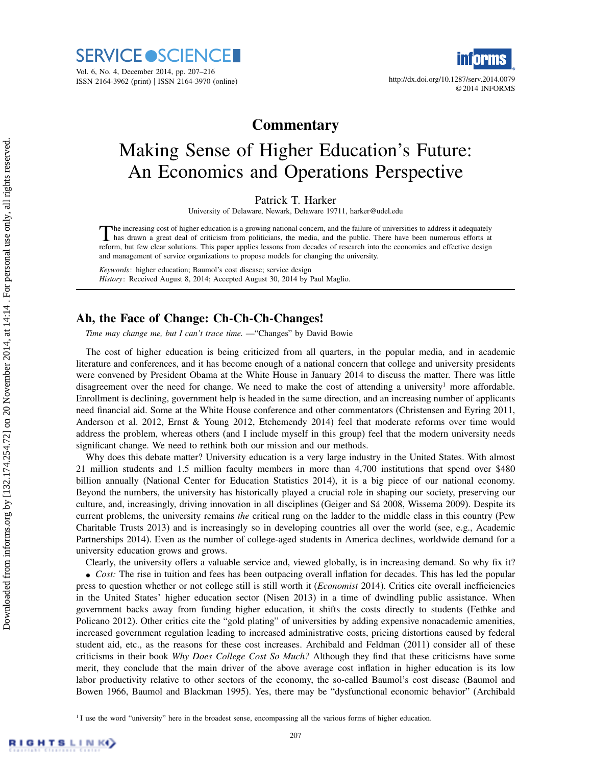



© 2014 INFORMS

## **Commentary**

# Making Sense of Higher Education's Future: An Economics and Operations Perspective

Patrick T. Harker

University of Delaware, Newark, Delaware 19711, harker@udel.edu

The increasing cost of higher education is a growing national concern, and the failure of universities to address it adequately<br>has drawn a great deal of criticism from politicians, the media, and the public. There have be he increasing cost of higher education is a growing national concern, and the failure of universities to address it adequately reform, but few clear solutions. This paper applies lessons from decades of research into the economics and effective design and management of service organizations to propose models for changing the university.

Keywords: higher education; Baumol's cost disease; service design History: Received August 8, 2014; Accepted August 30, 2014 by Paul Maglio.

#### Ah, the Face of Change: Ch-Ch-Ch-Changes!

Time may change me, but I can't trace time. —"Changes" by David Bowie

The cost of higher education is being criticized from all quarters, in the popular media, and in academic literature and conferences, and it has become enough of a national concern that college and university presidents were convened by President Obama at the White House in January 2014 to discuss the matter. There was little disagreement over the need for change. We need to make the cost of attending a university<sup>1</sup> more affordable. Enrollment is declining, government help is headed in the same direction, and an increasing number of applicants need financial aid. Some at the White House conference and other commentators (Christensen and Eyring 2011, Anderson et al. 2012, Ernst & Young 2012, Etchemendy 2014) feel that moderate reforms over time would address the problem, whereas others (and I include myself in this group) feel that the modern university needs significant change. We need to rethink both our mission and our methods.

Why does this debate matter? University education is a very large industry in the United States. With almost 21 million students and 1.5 million faculty members in more than 4,700 institutions that spend over \$480 billion annually (National Center for Education Statistics 2014), it is a big piece of our national economy. Beyond the numbers, the university has historically played a crucial role in shaping our society, preserving our culture, and, increasingly, driving innovation in all disciplines (Geiger and Sá 2008, Wissema 2009). Despite its current problems, the university remains the critical rung on the ladder to the middle class in this country (Pew Charitable Trusts 2013) and is increasingly so in developing countries all over the world (see, e.g., Academic Partnerships 2014). Even as the number of college-aged students in America declines, worldwide demand for a university education grows and grows.

Clearly, the university offers a valuable service and, viewed globally, is in increasing demand. So why fix it? • Cost: The rise in tuition and fees has been outpacing overall inflation for decades. This has led the popular press to question whether or not college still is still worth it (*Economist* 2014). Critics cite overall inefficiencies in the United States' higher education sector (Nisen 2013) in a time of dwindling public assistance. When government backs away from funding higher education, it shifts the costs directly to students (Fethke and Policano 2012). Other critics cite the "gold plating" of universities by adding expensive nonacademic amenities, increased government regulation leading to increased administrative costs, pricing distortions caused by federal student aid, etc., as the reasons for these cost increases. Archibald and Feldman (2011) consider all of these criticisms in their book Why Does College Cost So Much? Although they find that these criticisms have some merit, they conclude that the main driver of the above average cost inflation in higher education is its low labor productivity relative to other sectors of the economy, the so-called Baumol's cost disease (Baumol and Bowen 1966, Baumol and Blackman 1995). Yes, there may be "dysfunctional economic behavior" (Archibald

<sup>&</sup>lt;sup>1</sup> I use the word "university" here in the broadest sense, encompassing all the various forms of higher education.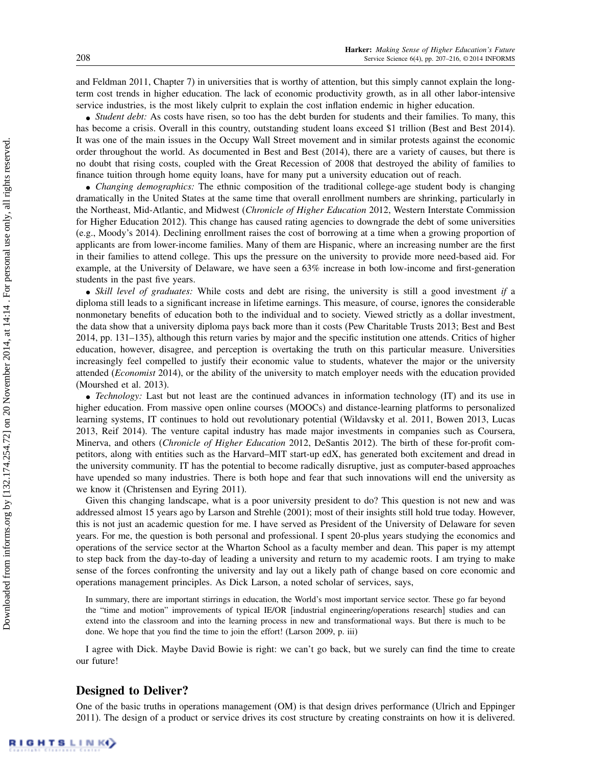and Feldman 2011, Chapter 7) in universities that is worthy of attention, but this simply cannot explain the longterm cost trends in higher education. The lack of economic productivity growth, as in all other labor-intensive service industries, is the most likely culprit to explain the cost inflation endemic in higher education.

• Student debt: As costs have risen, so too has the debt burden for students and their families. To many, this has become a crisis. Overall in this country, outstanding student loans exceed \$1 trillion (Best and Best 2014). It was one of the main issues in the Occupy Wall Street movement and in similar protests against the economic order throughout the world. As documented in Best and Best (2014), there are a variety of causes, but there is no doubt that rising costs, coupled with the Great Recession of 2008 that destroyed the ability of families to finance tuition through home equity loans, have for many put a university education out of reach.

• Changing demographics: The ethnic composition of the traditional college-age student body is changing dramatically in the United States at the same time that overall enrollment numbers are shrinking, particularly in the Northeast, Mid-Atlantic, and Midwest (Chronicle of Higher Education 2012, Western Interstate Commission for Higher Education 2012). This change has caused rating agencies to downgrade the debt of some universities (e.g., Moody's 2014). Declining enrollment raises the cost of borrowing at a time when a growing proportion of applicants are from lower-income families. Many of them are Hispanic, where an increasing number are the first in their families to attend college. This ups the pressure on the university to provide more need-based aid. For example, at the University of Delaware, we have seen a 63% increase in both low-income and first-generation students in the past five years.

• Skill level of graduates: While costs and debt are rising, the university is still a good investment if a diploma still leads to a significant increase in lifetime earnings. This measure, of course, ignores the considerable nonmonetary benefits of education both to the individual and to society. Viewed strictly as a dollar investment, the data show that a university diploma pays back more than it costs (Pew Charitable Trusts 2013; Best and Best 2014, pp. 131–135), although this return varies by major and the specific institution one attends. Critics of higher education, however, disagree, and perception is overtaking the truth on this particular measure. Universities increasingly feel compelled to justify their economic value to students, whatever the major or the university attended (Economist 2014), or the ability of the university to match employer needs with the education provided (Mourshed et al. 2013).

• Technology: Last but not least are the continued advances in information technology (IT) and its use in higher education. From massive open online courses (MOOCs) and distance-learning platforms to personalized learning systems, IT continues to hold out revolutionary potential (Wildavsky et al. 2011, Bowen 2013, Lucas 2013, Reif 2014). The venture capital industry has made major investments in companies such as Coursera, Minerva, and others (Chronicle of Higher Education 2012, DeSantis 2012). The birth of these for-profit competitors, along with entities such as the Harvard–MIT start-up edX, has generated both excitement and dread in the university community. IT has the potential to become radically disruptive, just as computer-based approaches have upended so many industries. There is both hope and fear that such innovations will end the university as we know it (Christensen and Eyring 2011).

Given this changing landscape, what is a poor university president to do? This question is not new and was addressed almost 15 years ago by Larson and Strehle (2001); most of their insights still hold true today. However, this is not just an academic question for me. I have served as President of the University of Delaware for seven years. For me, the question is both personal and professional. I spent 20-plus years studying the economics and operations of the service sector at the Wharton School as a faculty member and dean. This paper is my attempt to step back from the day-to-day of leading a university and return to my academic roots. I am trying to make sense of the forces confronting the university and lay out a likely path of change based on core economic and operations management principles. As Dick Larson, a noted scholar of services, says,

In summary, there are important stirrings in education, the World's most important service sector. These go far beyond the "time and motion" improvements of typical IE/OR [industrial engineering/operations research] studies and can extend into the classroom and into the learning process in new and transformational ways. But there is much to be done. We hope that you find the time to join the effort! (Larson 2009, p. iii)

I agree with Dick. Maybe David Bowie is right: we can't go back, but we surely can find the time to create our future!

#### Designed to Deliver?

One of the basic truths in operations management (OM) is that design drives performance (Ulrich and Eppinger 2011). The design of a product or service drives its cost structure by creating constraints on how it is delivered.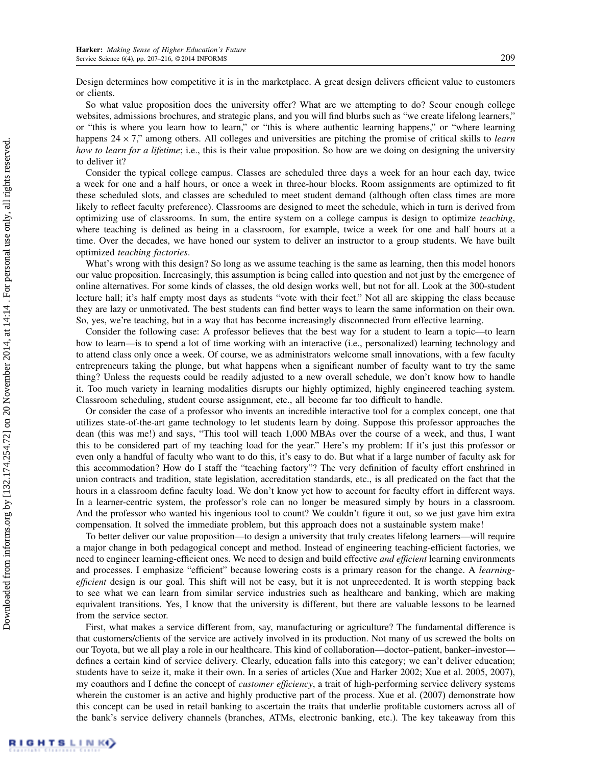Design determines how competitive it is in the marketplace. A great design delivers efficient value to customers or clients.

So what value proposition does the university offer? What are we attempting to do? Scour enough college websites, admissions brochures, and strategic plans, and you will find blurbs such as "we create lifelong learners," or "this is where you learn how to learn," or "this is where authentic learning happens," or "where learning happens  $24 \times 7$ ," among others. All colleges and universities are pitching the promise of critical skills to *learn* how to learn for a lifetime; i.e., this is their value proposition. So how are we doing on designing the university to deliver it?

Consider the typical college campus. Classes are scheduled three days a week for an hour each day, twice a week for one and a half hours, or once a week in three-hour blocks. Room assignments are optimized to fit these scheduled slots, and classes are scheduled to meet student demand (although often class times are more likely to reflect faculty preference). Classrooms are designed to meet the schedule, which in turn is derived from optimizing use of classrooms. In sum, the entire system on a college campus is design to optimize teaching, where teaching is defined as being in a classroom, for example, twice a week for one and half hours at a time. Over the decades, we have honed our system to deliver an instructor to a group students. We have built optimized teaching factories.

What's wrong with this design? So long as we assume teaching is the same as learning, then this model honors our value proposition. Increasingly, this assumption is being called into question and not just by the emergence of online alternatives. For some kinds of classes, the old design works well, but not for all. Look at the 300-student lecture hall; it's half empty most days as students "vote with their feet." Not all are skipping the class because they are lazy or unmotivated. The best students can find better ways to learn the same information on their own. So, yes, we're teaching, but in a way that has become increasingly disconnected from effective learning.

Consider the following case: A professor believes that the best way for a student to learn a topic—to learn how to learn—is to spend a lot of time working with an interactive (i.e., personalized) learning technology and to attend class only once a week. Of course, we as administrators welcome small innovations, with a few faculty entrepreneurs taking the plunge, but what happens when a significant number of faculty want to try the same thing? Unless the requests could be readily adjusted to a new overall schedule, we don't know how to handle it. Too much variety in learning modalities disrupts our highly optimized, highly engineered teaching system. Classroom scheduling, student course assignment, etc., all become far too difficult to handle.

Or consider the case of a professor who invents an incredible interactive tool for a complex concept, one that utilizes state-of-the-art game technology to let students learn by doing. Suppose this professor approaches the dean (this was me!) and says, "This tool will teach 1,000 MBAs over the course of a week, and thus, I want this to be considered part of my teaching load for the year." Here's my problem: If it's just this professor or even only a handful of faculty who want to do this, it's easy to do. But what if a large number of faculty ask for this accommodation? How do I staff the "teaching factory"? The very definition of faculty effort enshrined in union contracts and tradition, state legislation, accreditation standards, etc., is all predicated on the fact that the hours in a classroom define faculty load. We don't know yet how to account for faculty effort in different ways. In a learner-centric system, the professor's role can no longer be measured simply by hours in a classroom. And the professor who wanted his ingenious tool to count? We couldn't figure it out, so we just gave him extra compensation. It solved the immediate problem, but this approach does not a sustainable system make!

To better deliver our value proposition—to design a university that truly creates lifelong learners—will require a major change in both pedagogical concept and method. Instead of engineering teaching-efficient factories, we need to engineer learning-efficient ones. We need to design and build effective *and efficient* learning environments and processes. I emphasize "efficient" because lowering costs is a primary reason for the change. A *learning*efficient design is our goal. This shift will not be easy, but it is not unprecedented. It is worth stepping back to see what we can learn from similar service industries such as healthcare and banking, which are making equivalent transitions. Yes, I know that the university is different, but there are valuable lessons to be learned from the service sector.

First, what makes a service different from, say, manufacturing or agriculture? The fundamental difference is that customers/clients of the service are actively involved in its production. Not many of us screwed the bolts on our Toyota, but we all play a role in our healthcare. This kind of collaboration—doctor–patient, banker–investor defines a certain kind of service delivery. Clearly, education falls into this category; we can't deliver education; students have to seize it, make it their own. In a series of articles (Xue and Harker 2002; Xue et al. 2005, 2007), my coauthors and I define the concept of *customer efficiency*, a trait of high-performing service delivery systems wherein the customer is an active and highly productive part of the process. Xue et al. (2007) demonstrate how this concept can be used in retail banking to ascertain the traits that underlie profitable customers across all of the bank's service delivery channels (branches, ATMs, electronic banking, etc.). The key takeaway from this

Downloaded from informs.org by [132.174.254.72] on 20 November 2014, at 14:14 . For personal use only, all rights reserved. Downloaded from informs.org by [132.174.254.72] on 20 November 2014, at 14:14 . For personal use only, all rights reserved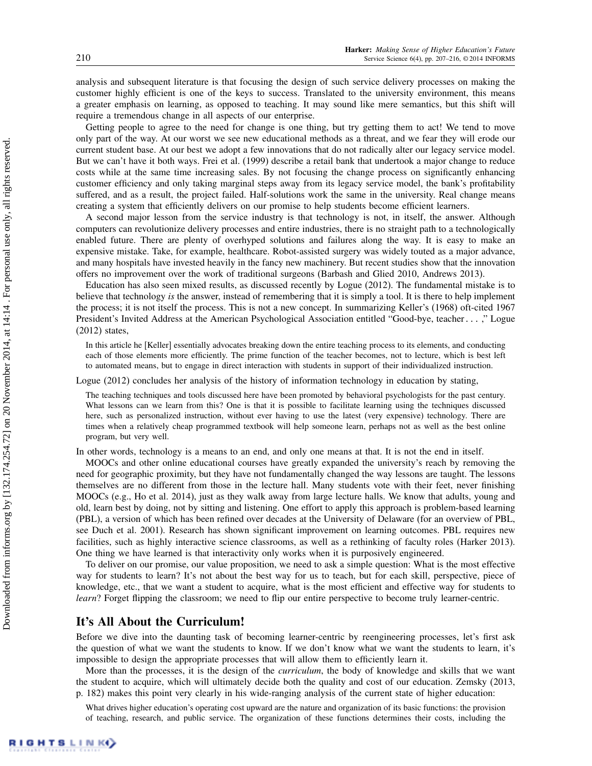analysis and subsequent literature is that focusing the design of such service delivery processes on making the customer highly efficient is one of the keys to success. Translated to the university environment, this means a greater emphasis on learning, as opposed to teaching. It may sound like mere semantics, but this shift will require a tremendous change in all aspects of our enterprise.

Getting people to agree to the need for change is one thing, but try getting them to act! We tend to move only part of the way. At our worst we see new educational methods as a threat, and we fear they will erode our current student base. At our best we adopt a few innovations that do not radically alter our legacy service model. But we can't have it both ways. Frei et al. (1999) describe a retail bank that undertook a major change to reduce costs while at the same time increasing sales. By not focusing the change process on significantly enhancing customer efficiency and only taking marginal steps away from its legacy service model, the bank's profitability suffered, and as a result, the project failed. Half-solutions work the same in the university. Real change means creating a system that efficiently delivers on our promise to help students become efficient learners.

A second major lesson from the service industry is that technology is not, in itself, the answer. Although computers can revolutionize delivery processes and entire industries, there is no straight path to a technologically enabled future. There are plenty of overhyped solutions and failures along the way. It is easy to make an expensive mistake. Take, for example, healthcare. Robot-assisted surgery was widely touted as a major advance, and many hospitals have invested heavily in the fancy new machinery. But recent studies show that the innovation offers no improvement over the work of traditional surgeons (Barbash and Glied 2010, Andrews 2013).

Education has also seen mixed results, as discussed recently by Logue (2012). The fundamental mistake is to believe that technology is the answer, instead of remembering that it is simply a tool. It is there to help implement the process; it is not itself the process. This is not a new concept. In summarizing Keller's (1968) oft-cited 1967 President's Invited Address at the American Psychological Association entitled "Good-bye, teacher...," Logue (2012) states,

In this article he [Keller] essentially advocates breaking down the entire teaching process to its elements, and conducting each of those elements more efficiently. The prime function of the teacher becomes, not to lecture, which is best left to automated means, but to engage in direct interaction with students in support of their individualized instruction.

Logue (2012) concludes her analysis of the history of information technology in education by stating,

The teaching techniques and tools discussed here have been promoted by behavioral psychologists for the past century. What lessons can we learn from this? One is that it is possible to facilitate learning using the techniques discussed here, such as personalized instruction, without ever having to use the latest (very expensive) technology. There are times when a relatively cheap programmed textbook will help someone learn, perhaps not as well as the best online program, but very well.

In other words, technology is a means to an end, and only one means at that. It is not the end in itself.

MOOCs and other online educational courses have greatly expanded the university's reach by removing the need for geographic proximity, but they have not fundamentally changed the way lessons are taught. The lessons themselves are no different from those in the lecture hall. Many students vote with their feet, never finishing MOOCs (e.g., Ho et al. 2014), just as they walk away from large lecture halls. We know that adults, young and old, learn best by doing, not by sitting and listening. One effort to apply this approach is problem-based learning (PBL), a version of which has been refined over decades at the University of Delaware (for an overview of PBL, see Duch et al. 2001). Research has shown significant improvement on learning outcomes. PBL requires new facilities, such as highly interactive science classrooms, as well as a rethinking of faculty roles (Harker 2013). One thing we have learned is that interactivity only works when it is purposively engineered.

To deliver on our promise, our value proposition, we need to ask a simple question: What is the most effective way for students to learn? It's not about the best way for us to teach, but for each skill, perspective, piece of knowledge, etc., that we want a student to acquire, what is the most efficient and effective way for students to learn? Forget flipping the classroom; we need to flip our entire perspective to become truly learner-centric.

#### It's All About the Curriculum!

Before we dive into the daunting task of becoming learner-centric by reengineering processes, let's first ask the question of what we want the students to know. If we don't know what we want the students to learn, it's impossible to design the appropriate processes that will allow them to efficiently learn it.

More than the processes, it is the design of the *curriculum*, the body of knowledge and skills that we want the student to acquire, which will ultimately decide both the quality and cost of our education. Zemsky (2013, p. 182) makes this point very clearly in his wide-ranging analysis of the current state of higher education:

What drives higher education's operating cost upward are the nature and organization of its basic functions: the provision of teaching, research, and public service. The organization of these functions determines their costs, including the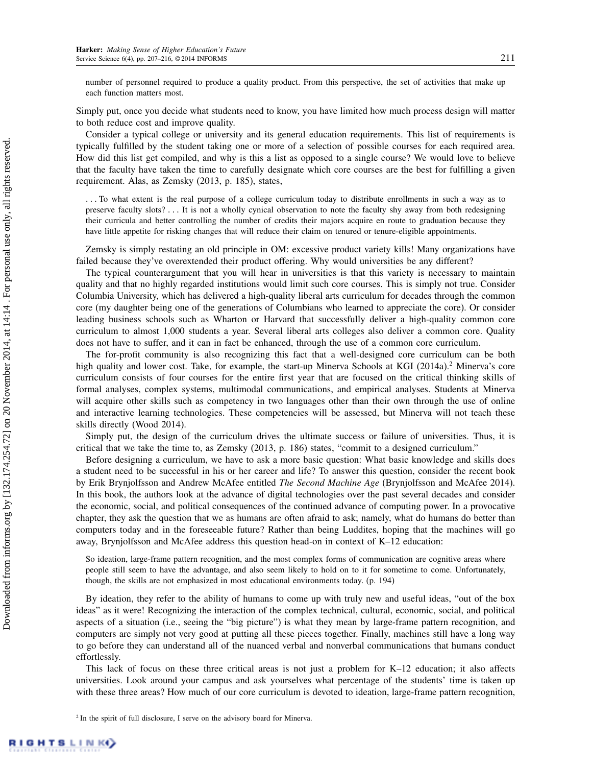number of personnel required to produce a quality product. From this perspective, the set of activities that make up each function matters most.

Simply put, once you decide what students need to know, you have limited how much process design will matter to both reduce cost and improve quality.

Consider a typical college or university and its general education requirements. This list of requirements is typically fulfilled by the student taking one or more of a selection of possible courses for each required area. How did this list get compiled, and why is this a list as opposed to a single course? We would love to believe that the faculty have taken the time to carefully designate which core courses are the best for fulfilling a given requirement. Alas, as Zemsky (2013, p. 185), states,

... To what extent is the real purpose of a college curriculum today to distribute enrollments in such a way as to preserve faculty slots? : : : It is not a wholly cynical observation to note the faculty shy away from both redesigning their curricula and better controlling the number of credits their majors acquire en route to graduation because they have little appetite for risking changes that will reduce their claim on tenured or tenure-eligible appointments.

Zemsky is simply restating an old principle in OM: excessive product variety kills! Many organizations have failed because they've overextended their product offering. Why would universities be any different?

The typical counterargument that you will hear in universities is that this variety is necessary to maintain quality and that no highly regarded institutions would limit such core courses. This is simply not true. Consider Columbia University, which has delivered a high-quality liberal arts curriculum for decades through the common core (my daughter being one of the generations of Columbians who learned to appreciate the core). Or consider leading business schools such as Wharton or Harvard that successfully deliver a high-quality common core curriculum to almost 1,000 students a year. Several liberal arts colleges also deliver a common core. Quality does not have to suffer, and it can in fact be enhanced, through the use of a common core curriculum.

The for-profit community is also recognizing this fact that a well-designed core curriculum can be both high quality and lower cost. Take, for example, the start-up Minerva Schools at KGI (2014a).<sup>2</sup> Minerva's core curriculum consists of four courses for the entire first year that are focused on the critical thinking skills of formal analyses, complex systems, multimodal communications, and empirical analyses. Students at Minerva will acquire other skills such as competency in two languages other than their own through the use of online and interactive learning technologies. These competencies will be assessed, but Minerva will not teach these skills directly (Wood 2014).

Simply put, the design of the curriculum drives the ultimate success or failure of universities. Thus, it is critical that we take the time to, as Zemsky (2013, p. 186) states, "commit to a designed curriculum."

Before designing a curriculum, we have to ask a more basic question: What basic knowledge and skills does a student need to be successful in his or her career and life? To answer this question, consider the recent book by Erik Brynjolfsson and Andrew McAfee entitled The Second Machine Age (Brynjolfsson and McAfee 2014). In this book, the authors look at the advance of digital technologies over the past several decades and consider the economic, social, and political consequences of the continued advance of computing power. In a provocative chapter, they ask the question that we as humans are often afraid to ask; namely, what do humans do better than computers today and in the foreseeable future? Rather than being Luddites, hoping that the machines will go away, Brynjolfsson and McAfee address this question head-on in context of K–12 education:

So ideation, large-frame pattern recognition, and the most complex forms of communication are cognitive areas where people still seem to have the advantage, and also seem likely to hold on to it for sometime to come. Unfortunately, though, the skills are not emphasized in most educational environments today. (p. 194)

By ideation, they refer to the ability of humans to come up with truly new and useful ideas, "out of the box ideas" as it were! Recognizing the interaction of the complex technical, cultural, economic, social, and political aspects of a situation (i.e., seeing the "big picture") is what they mean by large-frame pattern recognition, and computers are simply not very good at putting all these pieces together. Finally, machines still have a long way to go before they can understand all of the nuanced verbal and nonverbal communications that humans conduct effortlessly.

This lack of focus on these three critical areas is not just a problem for K–12 education; it also affects universities. Look around your campus and ask yourselves what percentage of the students' time is taken up with these three areas? How much of our core curriculum is devoted to ideation, large-frame pattern recognition,

<sup>&</sup>lt;sup>2</sup> In the spirit of full disclosure, I serve on the advisory board for Minerva.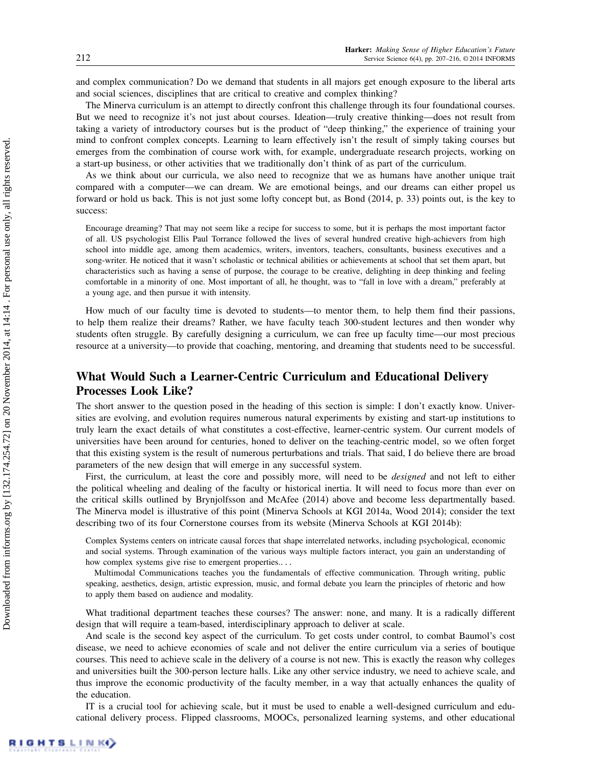and complex communication? Do we demand that students in all majors get enough exposure to the liberal arts and social sciences, disciplines that are critical to creative and complex thinking?

The Minerva curriculum is an attempt to directly confront this challenge through its four foundational courses. But we need to recognize it's not just about courses. Ideation—truly creative thinking—does not result from taking a variety of introductory courses but is the product of "deep thinking," the experience of training your mind to confront complex concepts. Learning to learn effectively isn't the result of simply taking courses but emerges from the combination of course work with, for example, undergraduate research projects, working on a start-up business, or other activities that we traditionally don't think of as part of the curriculum.

As we think about our curricula, we also need to recognize that we as humans have another unique trait compared with a computer—we can dream. We are emotional beings, and our dreams can either propel us forward or hold us back. This is not just some lofty concept but, as Bond (2014, p. 33) points out, is the key to success:

Encourage dreaming? That may not seem like a recipe for success to some, but it is perhaps the most important factor of all. US psychologist Ellis Paul Torrance followed the lives of several hundred creative high-achievers from high school into middle age, among them academics, writers, inventors, teachers, consultants, business executives and a song-writer. He noticed that it wasn't scholastic or technical abilities or achievements at school that set them apart, but characteristics such as having a sense of purpose, the courage to be creative, delighting in deep thinking and feeling comfortable in a minority of one. Most important of all, he thought, was to "fall in love with a dream," preferably at a young age, and then pursue it with intensity.

How much of our faculty time is devoted to students—to mentor them, to help them find their passions, to help them realize their dreams? Rather, we have faculty teach 300-student lectures and then wonder why students often struggle. By carefully designing a curriculum, we can free up faculty time—our most precious resource at a university—to provide that coaching, mentoring, and dreaming that students need to be successful.

### What Would Such a Learner-Centric Curriculum and Educational Delivery Processes Look Like?

The short answer to the question posed in the heading of this section is simple: I don't exactly know. Universities are evolving, and evolution requires numerous natural experiments by existing and start-up institutions to truly learn the exact details of what constitutes a cost-effective, learner-centric system. Our current models of universities have been around for centuries, honed to deliver on the teaching-centric model, so we often forget that this existing system is the result of numerous perturbations and trials. That said, I do believe there are broad parameters of the new design that will emerge in any successful system.

First, the curriculum, at least the core and possibly more, will need to be *designed* and not left to either the political wheeling and dealing of the faculty or historical inertia. It will need to focus more than ever on the critical skills outlined by Brynjolfsson and McAfee (2014) above and become less departmentally based. The Minerva model is illustrative of this point (Minerva Schools at KGI 2014a, Wood 2014); consider the text describing two of its four Cornerstone courses from its website (Minerva Schools at KGI 2014b):

Complex Systems centers on intricate causal forces that shape interrelated networks, including psychological, economic and social systems. Through examination of the various ways multiple factors interact, you gain an understanding of how complex systems give rise to emergent properties....

Multimodal Communications teaches you the fundamentals of effective communication. Through writing, public speaking, aesthetics, design, artistic expression, music, and formal debate you learn the principles of rhetoric and how to apply them based on audience and modality.

What traditional department teaches these courses? The answer: none, and many. It is a radically different design that will require a team-based, interdisciplinary approach to deliver at scale.

And scale is the second key aspect of the curriculum. To get costs under control, to combat Baumol's cost disease, we need to achieve economies of scale and not deliver the entire curriculum via a series of boutique courses. This need to achieve scale in the delivery of a course is not new. This is exactly the reason why colleges and universities built the 300-person lecture halls. Like any other service industry, we need to achieve scale, and thus improve the economic productivity of the faculty member, in a way that actually enhances the quality of the education.

IT is a crucial tool for achieving scale, but it must be used to enable a well-designed curriculum and educational delivery process. Flipped classrooms, MOOCs, personalized learning systems, and other educational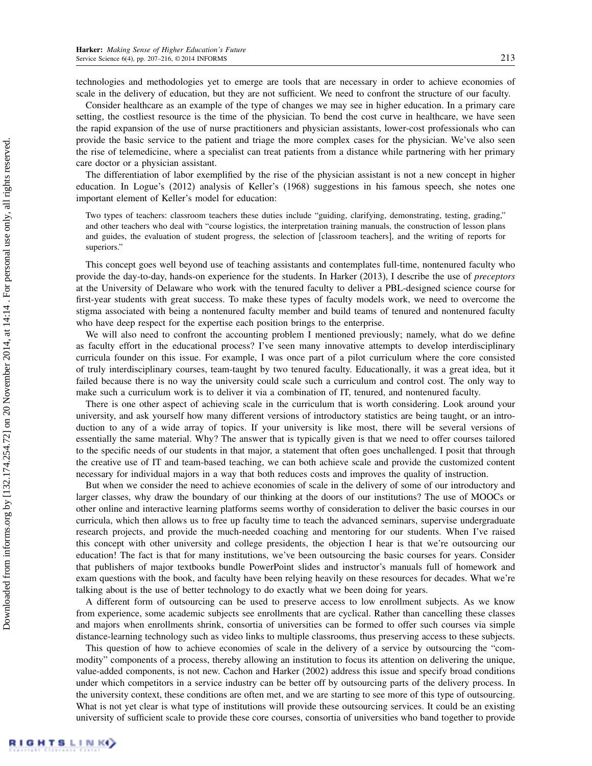technologies and methodologies yet to emerge are tools that are necessary in order to achieve economies of scale in the delivery of education, but they are not sufficient. We need to confront the structure of our faculty.

Consider healthcare as an example of the type of changes we may see in higher education. In a primary care setting, the costliest resource is the time of the physician. To bend the cost curve in healthcare, we have seen the rapid expansion of the use of nurse practitioners and physician assistants, lower-cost professionals who can provide the basic service to the patient and triage the more complex cases for the physician. We've also seen the rise of telemedicine, where a specialist can treat patients from a distance while partnering with her primary care doctor or a physician assistant.

The differentiation of labor exemplified by the rise of the physician assistant is not a new concept in higher education. In Logue's (2012) analysis of Keller's (1968) suggestions in his famous speech, she notes one important element of Keller's model for education:

Two types of teachers: classroom teachers these duties include "guiding, clarifying, demonstrating, testing, grading," and other teachers who deal with "course logistics, the interpretation training manuals, the construction of lesson plans and guides, the evaluation of student progress, the selection of [classroom teachers], and the writing of reports for superiors."

This concept goes well beyond use of teaching assistants and contemplates full-time, nontenured faculty who provide the day-to-day, hands-on experience for the students. In Harker (2013), I describe the use of preceptors at the University of Delaware who work with the tenured faculty to deliver a PBL-designed science course for first-year students with great success. To make these types of faculty models work, we need to overcome the stigma associated with being a nontenured faculty member and build teams of tenured and nontenured faculty who have deep respect for the expertise each position brings to the enterprise.

We will also need to confront the accounting problem I mentioned previously; namely, what do we define as faculty effort in the educational process? I've seen many innovative attempts to develop interdisciplinary curricula founder on this issue. For example, I was once part of a pilot curriculum where the core consisted of truly interdisciplinary courses, team-taught by two tenured faculty. Educationally, it was a great idea, but it failed because there is no way the university could scale such a curriculum and control cost. The only way to make such a curriculum work is to deliver it via a combination of IT, tenured, and nontenured faculty.

There is one other aspect of achieving scale in the curriculum that is worth considering. Look around your university, and ask yourself how many different versions of introductory statistics are being taught, or an introduction to any of a wide array of topics. If your university is like most, there will be several versions of essentially the same material. Why? The answer that is typically given is that we need to offer courses tailored to the specific needs of our students in that major, a statement that often goes unchallenged. I posit that through the creative use of IT and team-based teaching, we can both achieve scale and provide the customized content necessary for individual majors in a way that both reduces costs and improves the quality of instruction.

But when we consider the need to achieve economies of scale in the delivery of some of our introductory and larger classes, why draw the boundary of our thinking at the doors of our institutions? The use of MOOCs or other online and interactive learning platforms seems worthy of consideration to deliver the basic courses in our curricula, which then allows us to free up faculty time to teach the advanced seminars, supervise undergraduate research projects, and provide the much-needed coaching and mentoring for our students. When I've raised this concept with other university and college presidents, the objection I hear is that we're outsourcing our education! The fact is that for many institutions, we've been outsourcing the basic courses for years. Consider that publishers of major textbooks bundle PowerPoint slides and instructor's manuals full of homework and exam questions with the book, and faculty have been relying heavily on these resources for decades. What we're talking about is the use of better technology to do exactly what we been doing for years.

A different form of outsourcing can be used to preserve access to low enrollment subjects. As we know from experience, some academic subjects see enrollments that are cyclical. Rather than cancelling these classes and majors when enrollments shrink, consortia of universities can be formed to offer such courses via simple distance-learning technology such as video links to multiple classrooms, thus preserving access to these subjects.

This question of how to achieve economies of scale in the delivery of a service by outsourcing the "commodity" components of a process, thereby allowing an institution to focus its attention on delivering the unique, value-added components, is not new. Cachon and Harker (2002) address this issue and specify broad conditions under which competitors in a service industry can be better off by outsourcing parts of the delivery process. In the university context, these conditions are often met, and we are starting to see more of this type of outsourcing. What is not yet clear is what type of institutions will provide these outsourcing services. It could be an existing university of sufficient scale to provide these core courses, consortia of universities who band together to provide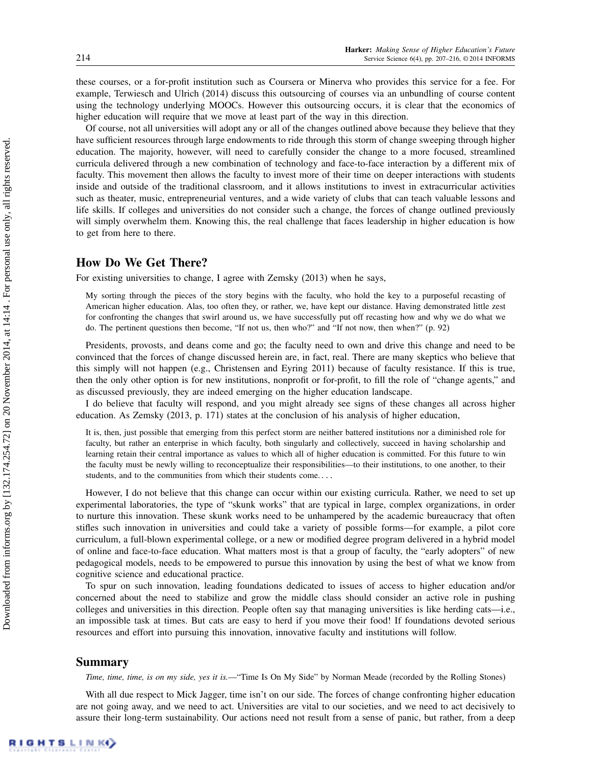these courses, or a for-profit institution such as Coursera or Minerva who provides this service for a fee. For example, Terwiesch and Ulrich (2014) discuss this outsourcing of courses via an unbundling of course content using the technology underlying MOOCs. However this outsourcing occurs, it is clear that the economics of higher education will require that we move at least part of the way in this direction.

Of course, not all universities will adopt any or all of the changes outlined above because they believe that they have sufficient resources through large endowments to ride through this storm of change sweeping through higher education. The majority, however, will need to carefully consider the change to a more focused, streamlined curricula delivered through a new combination of technology and face-to-face interaction by a different mix of faculty. This movement then allows the faculty to invest more of their time on deeper interactions with students inside and outside of the traditional classroom, and it allows institutions to invest in extracurricular activities such as theater, music, entrepreneurial ventures, and a wide variety of clubs that can teach valuable lessons and life skills. If colleges and universities do not consider such a change, the forces of change outlined previously will simply overwhelm them. Knowing this, the real challenge that faces leadership in higher education is how to get from here to there.

#### How Do We Get There?

For existing universities to change, I agree with Zemsky (2013) when he says,

My sorting through the pieces of the story begins with the faculty, who hold the key to a purposeful recasting of American higher education. Alas, too often they, or rather, we, have kept our distance. Having demonstrated little zest for confronting the changes that swirl around us, we have successfully put off recasting how and why we do what we do. The pertinent questions then become, "If not us, then who?" and "If not now, then when?" (p. 92)

Presidents, provosts, and deans come and go; the faculty need to own and drive this change and need to be convinced that the forces of change discussed herein are, in fact, real. There are many skeptics who believe that this simply will not happen (e.g., Christensen and Eyring 2011) because of faculty resistance. If this is true, then the only other option is for new institutions, nonprofit or for-profit, to fill the role of "change agents," and as discussed previously, they are indeed emerging on the higher education landscape.

I do believe that faculty will respond, and you might already see signs of these changes all across higher education. As Zemsky (2013, p. 171) states at the conclusion of his analysis of higher education,

It is, then, just possible that emerging from this perfect storm are neither battered institutions nor a diminished role for faculty, but rather an enterprise in which faculty, both singularly and collectively, succeed in having scholarship and learning retain their central importance as values to which all of higher education is committed. For this future to win the faculty must be newly willing to reconceptualize their responsibilities—to their institutions, to one another, to their students, and to the communities from which their students come....

However, I do not believe that this change can occur within our existing curricula. Rather, we need to set up experimental laboratories, the type of "skunk works" that are typical in large, complex organizations, in order to nurture this innovation. These skunk works need to be unhampered by the academic bureaucracy that often stifles such innovation in universities and could take a variety of possible forms—for example, a pilot core curriculum, a full-blown experimental college, or a new or modified degree program delivered in a hybrid model of online and face-to-face education. What matters most is that a group of faculty, the "early adopters" of new pedagogical models, needs to be empowered to pursue this innovation by using the best of what we know from cognitive science and educational practice.

To spur on such innovation, leading foundations dedicated to issues of access to higher education and/or concerned about the need to stabilize and grow the middle class should consider an active role in pushing colleges and universities in this direction. People often say that managing universities is like herding cats—i.e., an impossible task at times. But cats are easy to herd if you move their food! If foundations devoted serious resources and effort into pursuing this innovation, innovative faculty and institutions will follow.

#### Summary

Time, time, time, is on my side, yes it is.—"Time Is On My Side" by Norman Meade (recorded by the Rolling Stones)

With all due respect to Mick Jagger, time isn't on our side. The forces of change confronting higher education are not going away, and we need to act. Universities are vital to our societies, and we need to act decisively to assure their long-term sustainability. Our actions need not result from a sense of panic, but rather, from a deep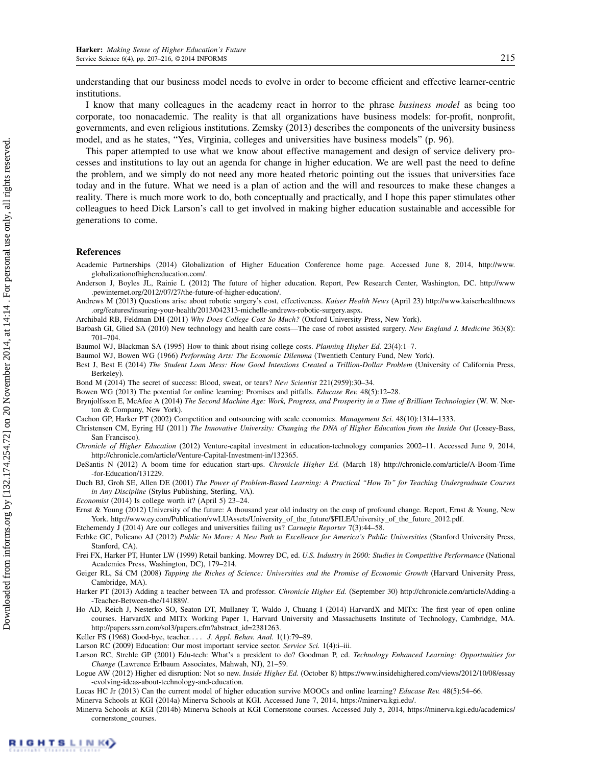understanding that our business model needs to evolve in order to become efficient and effective learner-centric institutions.

I know that many colleagues in the academy react in horror to the phrase business model as being too corporate, too nonacademic. The reality is that all organizations have business models: for-profit, nonprofit, governments, and even religious institutions. Zemsky (2013) describes the components of the university business model, and as he states, "Yes, Virginia, colleges and universities have business models" (p. 96).

This paper attempted to use what we know about effective management and design of service delivery processes and institutions to lay out an agenda for change in higher education. We are well past the need to define the problem, and we simply do not need any more heated rhetoric pointing out the issues that universities face today and in the future. What we need is a plan of action and the will and resources to make these changes a reality. There is much more work to do, both conceptually and practically, and I hope this paper stimulates other colleagues to heed Dick Larson's call to get involved in making higher education sustainable and accessible for generations to come.

#### References

Academic Partnerships (2014) Globalization of Higher Education Conference home page. Accessed June 8, 2014, http://www. globalizationofhighereducation.com/.

Anderson J, Boyles JL, Rainie L (2012) The future of higher education. Report, Pew Research Center, Washington, DC. http://www .pewinternet.org/2012//07/27/the-future-of-higher-education/.

Andrews M (2013) Questions arise about robotic surgery's cost, effectiveness. Kaiser Health News (April 23) http://www.kaiserhealthnews .org/features/insuring-your-health/2013/042313-michelle-andrews-robotic-surgery.aspx.

Archibald RB, Feldman DH (2011) Why Does College Cost So Much? (Oxford University Press, New York).

Barbash GI, Glied SA (2010) New technology and health care costs—The case of robot assisted surgery. New England J. Medicine 363(8): 701–704.

Baumol WJ, Blackman SA (1995) How to think about rising college costs. Planning Higher Ed. 23(4):1–7.

Baumol WJ, Bowen WG (1966) Performing Arts: The Economic Dilemma (Twentieth Century Fund, New York).

Best J, Best E (2014) The Student Loan Mess: How Good Intentions Created a Trillion-Dollar Problem (University of California Press, Berkeley)

Bond M (2014) The secret of success: Blood, sweat, or tears? New Scientist 221(2959):30–34.

- Bowen WG (2013) The potential for online learning: Promises and pitfalls. Educase Rev. 48(5):12–28.
- Brynjolfsson E, McAfee A (2014) The Second Machine Age: Work, Progress, and Prosperity in a Time of Brilliant Technologies (W. W. Norton & Company, New York).

Cachon GP, Harker PT (2002) Competition and outsourcing with scale economies. Management Sci. 48(10):1314–1333.

Christensen CM, Eyring HJ (2011) The Innovative University: Changing the DNA of Higher Education from the Inside Out (Jossey-Bass, San Francisco).

Chronicle of Higher Education (2012) Venture-capital investment in education-technology companies 2002–11. Accessed June 9, 2014, http://chronicle.com/article/Venture-Capital-Investment-in/132365.

DeSantis N (2012) A boom time for education start-ups. Chronicle Higher Ed. (March 18) http://chronicle.com/article/A-Boom-Time -for-Education/131229.

Duch BJ, Groh SE, Allen DE (2001) The Power of Problem-Based Learning: A Practical "How To" for Teaching Undergraduate Courses in Any Discipline (Stylus Publishing, Sterling, VA).

Economist (2014) Is college worth it? (April 5) 23–24.

Ernst & Young (2012) University of the future: A thousand year old industry on the cusp of profound change. Report, Ernst & Young, New York. http://www.ey.com/Publication/vwLUAssets/University\_of\_the\_future/\$FILE/University\_of\_the\_future\_2012.pdf.

Etchemendy J (2014) Are our colleges and universities failing us? Carnegie Reporter 7(3):44–58.

- Fethke GC, Policano AJ (2012) Public No More: A New Path to Excellence for America's Public Universities (Stanford University Press, Stanford, CA).
- Frei FX, Harker PT, Hunter LW (1999) Retail banking. Mowrey DC, ed. U.S. Industry in 2000: Studies in Competitive Performance (National Academies Press, Washington, DC), 179–214.

Geiger RL, Sá CM (2008) Tapping the Riches of Science: Universities and the Promise of Economic Growth (Harvard University Press, Cambridge, MA).

- Harker PT (2013) Adding a teacher between TA and professor. Chronicle Higher Ed. (September 30) http://chronicle.com/article/Adding-a -Teacher-Between-the/141889/.
- Ho AD, Reich J, Nesterko SO, Seaton DT, Mullaney T, Waldo J, Chuang I (2014) HarvardX and MITx: The first year of open online courses. HarvardX and MITx Working Paper 1, Harvard University and Massachusetts Institute of Technology, Cambridge, MA. http://papers.ssrn.com/sol3/papers.cfm?abstract\_id=2381263.

Keller FS (1968) Good-bye, teacher.... J. Appl. Behav. Anal. 1(1):79-89.

Larson RC (2009) Education: Our most important service sector. Service Sci. 1(4):i-iii.

Larson RC, Strehle GP (2001) Edu-tech: What's a president to do? Goodman P, ed. Technology Enhanced Learning: Opportunities for Change (Lawrence Erlbaum Associates, Mahwah, NJ), 21–59.

Logue AW (2012) Higher ed disruption: Not so new. Inside Higher Ed. (October 8) https://www.insidehighered.com/views/2012/10/08/essay -evolving-ideas-about-technology-and-education.

Lucas HC Jr (2013) Can the current model of higher education survive MOOCs and online learning? Educase Rev. 48(5):54–66.

Minerva Schools at KGI (2014a) Minerva Schools at KGI. Accessed June 7, 2014, https://minerva.kgi.edu/.

Minerva Schools at KGI (2014b) Minerva Schools at KGI Cornerstone courses. Accessed July 5, 2014, https://minerva.kgi.edu/academics/ cornerstone\_courses.